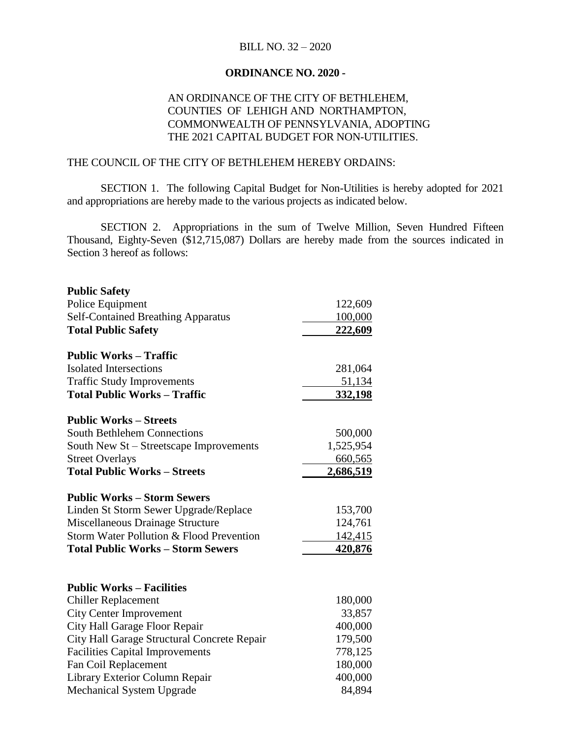### BILL NO. 32 – 2020

### **ORDINANCE NO. 2020 -**

## AN ORDINANCE OF THE CITY OF BETHLEHEM, COUNTIES OF LEHIGH AND NORTHAMPTON, COMMONWEALTH OF PENNSYLVANIA, ADOPTING THE 2021 CAPITAL BUDGET FOR NON-UTILITIES.

#### THE COUNCIL OF THE CITY OF BETHLEHEM HEREBY ORDAINS:

SECTION 1. The following Capital Budget for Non-Utilities is hereby adopted for 2021 and appropriations are hereby made to the various projects as indicated below.

SECTION 2. Appropriations in the sum of Twelve Million, Seven Hundred Fifteen Thousand, Eighty-Seven (\$12,715,087) Dollars are hereby made from the sources indicated in Section 3 hereof as follows:

| <b>Public Safety</b>                        |           |
|---------------------------------------------|-----------|
| Police Equipment                            | 122,609   |
| <b>Self-Contained Breathing Apparatus</b>   | 100,000   |
| <b>Total Public Safety</b>                  | 222,609   |
| <b>Public Works – Traffic</b>               |           |
| <b>Isolated Intersections</b>               | 281,064   |
| <b>Traffic Study Improvements</b>           | 51,134    |
| <b>Total Public Works - Traffic</b>         | 332,198   |
| <b>Public Works – Streets</b>               |           |
| <b>South Bethlehem Connections</b>          | 500,000   |
| South New St - Streetscape Improvements     | 1,525,954 |
| <b>Street Overlays</b>                      | 660,565   |
| <b>Total Public Works - Streets</b>         | 2,686,519 |
| <b>Public Works - Storm Sewers</b>          |           |
| Linden St Storm Sewer Upgrade/Replace       | 153,700   |
| Miscellaneous Drainage Structure            | 124,761   |
| Storm Water Pollution & Flood Prevention    | 142,415   |
| <b>Total Public Works - Storm Sewers</b>    | 420,876   |
| <b>Public Works - Facilities</b>            |           |
| <b>Chiller Replacement</b>                  | 180,000   |
| <b>City Center Improvement</b>              | 33,857    |
| City Hall Garage Floor Repair               | 400,000   |
| City Hall Garage Structural Concrete Repair | 179,500   |
| <b>Facilities Capital Improvements</b>      | 778,125   |
| Fan Coil Replacement                        | 180,000   |
| Library Exterior Column Repair              | 400,000   |
| <b>Mechanical System Upgrade</b>            | 84,894    |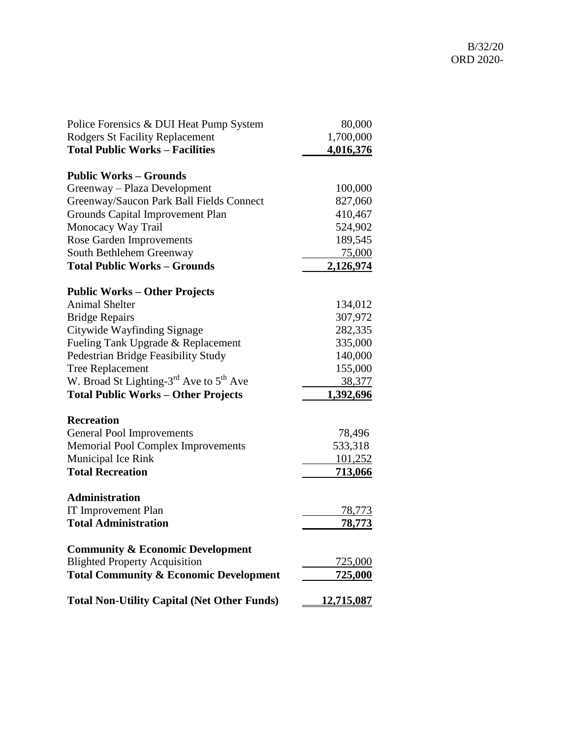| Police Forensics & DUI Heat Pump System            | 80,000            |
|----------------------------------------------------|-------------------|
| <b>Rodgers St Facility Replacement</b>             | 1,700,000         |
| <b>Total Public Works - Facilities</b>             | 4,016,376         |
| <b>Public Works – Grounds</b>                      |                   |
| Greenway – Plaza Development                       | 100,000           |
| Greenway/Saucon Park Ball Fields Connect           | 827,060           |
| Grounds Capital Improvement Plan                   | 410,467           |
| Monocacy Way Trail                                 | 524,902           |
| Rose Garden Improvements                           | 189,545           |
| South Bethlehem Greenway                           | 75,000            |
| <b>Total Public Works - Grounds</b>                | 2,126,974         |
| <b>Public Works – Other Projects</b>               |                   |
| <b>Animal Shelter</b>                              | 134,012           |
| <b>Bridge Repairs</b>                              | 307,972           |
| Citywide Wayfinding Signage                        | 282,335           |
| Fueling Tank Upgrade & Replacement                 | 335,000           |
| Pedestrian Bridge Feasibility Study                | 140,000           |
| <b>Tree Replacement</b>                            | 155,000           |
| W. Broad St Lighting- $3^{rd}$ Ave to $5^{th}$ Ave | 38,377            |
| <b>Total Public Works - Other Projects</b>         | 1,392,696         |
| <b>Recreation</b>                                  |                   |
| <b>General Pool Improvements</b>                   | 78,496            |
| <b>Memorial Pool Complex Improvements</b>          | 533,318           |
| Municipal Ice Rink                                 | 101,252           |
| <b>Total Recreation</b>                            | <u>713,066</u>    |
| <b>Administration</b>                              |                   |
| <b>IT Improvement Plan</b>                         | 78,773            |
| <b>Total Administration</b>                        | <u>78,773</u>     |
| <b>Community &amp; Economic Development</b>        |                   |
| <b>Blighted Property Acquisition</b>               | 725,000           |
| <b>Total Community &amp; Economic Development</b>  | <u>725,000</u>    |
| <b>Total Non-Utility Capital (Net Other Funds)</b> | <u>12,715,087</u> |